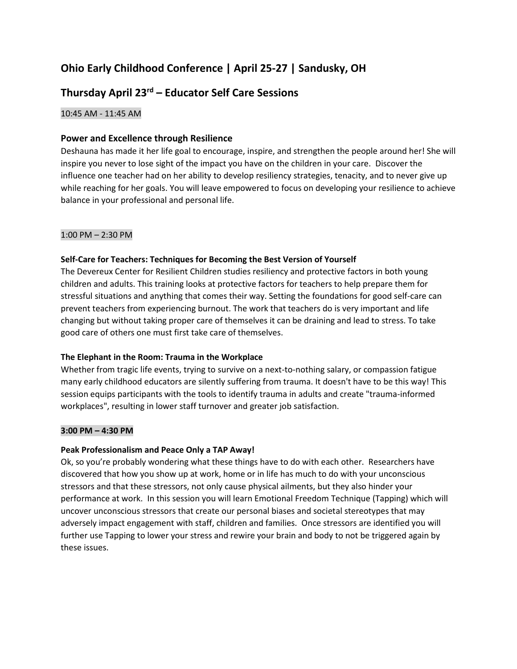## **Ohio Early Childhood Conference | April 25-27 | Sandusky, OH**

# **Thursday April 23rd – Educator Self Care Sessions**

## 10:45 AM - 11:45 AM

## **Power and Excellence through Resilience**

Deshauna has made it her life goal to encourage, inspire, and strengthen the people around her! She will inspire you never to lose sight of the impact you have on the children in your care. Discover the influence one teacher had on her ability to develop resiliency strategies, tenacity, and to never give up while reaching for her goals. You will leave empowered to focus on developing your resilience to achieve balance in your professional and personal life.

## 1:00 PM – 2:30 PM

## **Self-Care for Teachers: Techniques for Becoming the Best Version of Yourself**

The Devereux Center for Resilient Children studies resiliency and protective factors in both young children and adults. This training looks at protective factors for teachers to help prepare them for stressful situations and anything that comes their way. Setting the foundations for good self-care can prevent teachers from experiencing burnout. The work that teachers do is very important and life changing but without taking proper care of themselves it can be draining and lead to stress. To take good care of others one must first take care of themselves.

## **The Elephant in the Room: Trauma in the Workplace**

Whether from tragic life events, trying to survive on a next-to-nothing salary, or compassion fatigue many early childhood educators are silently suffering from trauma. It doesn't have to be this way! This session equips participants with the tools to identify trauma in adults and create "trauma-informed workplaces", resulting in lower staff turnover and greater job satisfaction.

## **3:00 PM – 4:30 PM**

## **Peak Professionalism and Peace Only a TAP Away!**

Ok, so you're probably wondering what these things have to do with each other. Researchers have discovered that how you show up at work, home or in life has much to do with your unconscious stressors and that these stressors, not only cause physical ailments, but they also hinder your performance at work. In this session you will learn Emotional Freedom Technique (Tapping) which will uncover unconscious stressors that create our personal biases and societal stereotypes that may adversely impact engagement with staff, children and families. Once stressors are identified you will further use Tapping to lower your stress and rewire your brain and body to not be triggered again by these issues.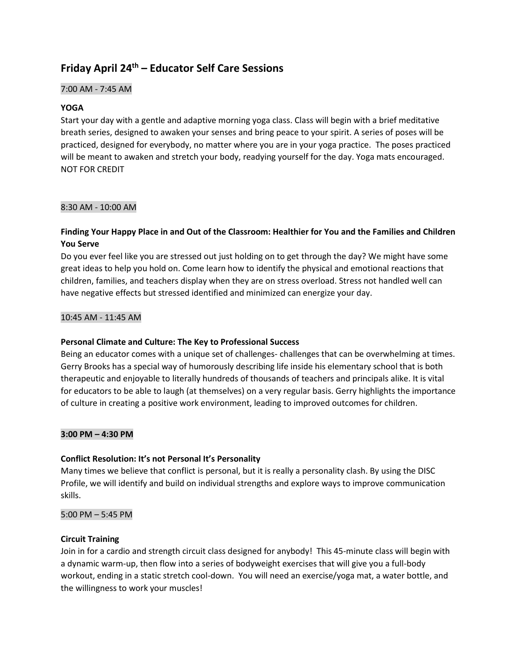## **Friday April 24 th – Educator Self Care Sessions**

## 7:00 AM - 7:45 AM

## **YOGA**

Start your day with a gentle and adaptive morning yoga class. Class will begin with a brief meditative breath series, designed to awaken your senses and bring peace to your spirit. A series of poses will be practiced, designed for everybody, no matter where you are in your yoga practice. The poses practiced will be meant to awaken and stretch your body, readying yourself for the day. Yoga mats encouraged. NOT FOR CREDIT

## 8:30 AM - 10:00 AM

## **Finding Your Happy Place in and Out of the Classroom: Healthier for You and the Families and Children You Serve**

Do you ever feel like you are stressed out just holding on to get through the day? We might have some great ideas to help you hold on. Come learn how to identify the physical and emotional reactions that children, families, and teachers display when they are on stress overload. Stress not handled well can have negative effects but stressed identified and minimized can energize your day.

## 10:45 AM - 11:45 AM

## **Personal Climate and Culture: The Key to Professional Success**

Being an educator comes with a unique set of challenges- challenges that can be overwhelming at times. Gerry Brooks has a special way of humorously describing life inside his elementary school that is both therapeutic and enjoyable to literally hundreds of thousands of teachers and principals alike. It is vital for educators to be able to laugh (at themselves) on a very regular basis. Gerry highlights the importance of culture in creating a positive work environment, leading to improved outcomes for children.

## **3:00 PM – 4:30 PM**

## **Conflict Resolution: It's not Personal It's Personality**

Many times we believe that conflict is personal, but it is really a personality clash. By using the DISC Profile, we will identify and build on individual strengths and explore ways to improve communication skills.

## 5:00 PM – 5:45 PM

## **Circuit Training**

Join in for a cardio and strength circuit class designed for anybody! This 45-minute class will begin with a dynamic warm-up, then flow into a series of bodyweight exercises that will give you a full-body workout, ending in a static stretch cool-down. You will need an exercise/yoga mat, a water bottle, and the willingness to work your muscles!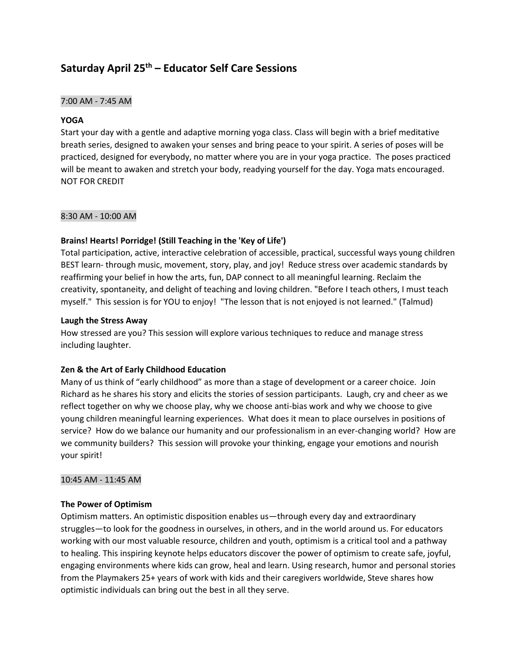## **Saturday April 25 th – Educator Self Care Sessions**

#### 7:00 AM - 7:45 AM

#### **YOGA**

Start your day with a gentle and adaptive morning yoga class. Class will begin with a brief meditative breath series, designed to awaken your senses and bring peace to your spirit. A series of poses will be practiced, designed for everybody, no matter where you are in your yoga practice. The poses practiced will be meant to awaken and stretch your body, readying yourself for the day. Yoga mats encouraged. NOT FOR CREDIT

#### 8:30 AM - 10:00 AM

#### **Brains! Hearts! Porridge! (Still Teaching in the 'Key of Life')**

Total participation, active, interactive celebration of accessible, practical, successful ways young children BEST learn- through music, movement, story, play, and joy! Reduce stress over academic standards by reaffirming your belief in how the arts, fun, DAP connect to all meaningful learning. Reclaim the creativity, spontaneity, and delight of teaching and loving children. "Before I teach others, I must teach myself." This session is for YOU to enjoy! "The lesson that is not enjoyed is not learned." (Talmud)

#### **Laugh the Stress Away**

How stressed are you? This session will explore various techniques to reduce and manage stress including laughter.

#### **Zen & the Art of Early Childhood Education**

Many of us think of "early childhood" as more than a stage of development or a career choice. Join Richard as he shares his story and elicits the stories of session participants. Laugh, cry and cheer as we reflect together on why we choose play, why we choose anti-bias work and why we choose to give young children meaningful learning experiences. What does it mean to place ourselves in positions of service? How do we balance our humanity and our professionalism in an ever-changing world? How are we community builders? This session will provoke your thinking, engage your emotions and nourish your spirit!

#### 10:45 AM - 11:45 AM

#### **The Power of Optimism**

Optimism matters. An optimistic disposition enables us—through every day and extraordinary struggles—to look for the goodness in ourselves, in others, and in the world around us. For educators working with our most valuable resource, children and youth, optimism is a critical tool and a pathway to healing. This inspiring keynote helps educators discover the power of optimism to create safe, joyful, engaging environments where kids can grow, heal and learn. Using research, humor and personal stories from the Playmakers 25+ years of work with kids and their caregivers worldwide, Steve shares how optimistic individuals can bring out the best in all they serve.